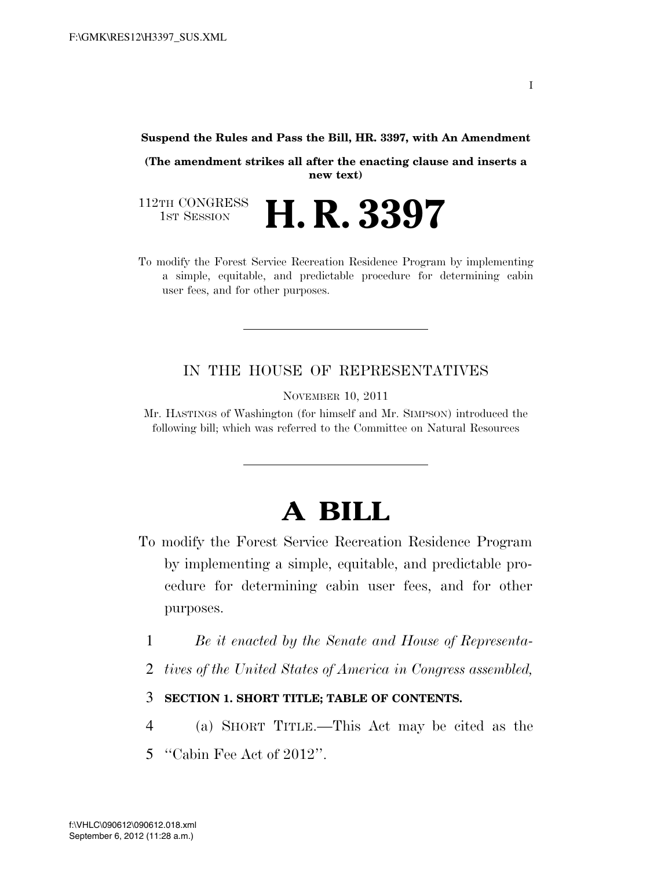#### **Suspend the Rules and Pass the Bill, HR. 3397, with An Amendment**

**(The amendment strikes all after the enacting clause and inserts a new text)** 

112TH CONGRESS<br>1st Session H. R. 3397

To modify the Forest Service Recreation Residence Program by implementing a simple, equitable, and predictable procedure for determining cabin user fees, and for other purposes.

## IN THE HOUSE OF REPRESENTATIVES

NOVEMBER 10, 2011

Mr. HASTINGS of Washington (for himself and Mr. SIMPSON) introduced the following bill; which was referred to the Committee on Natural Resources

# **A BILL**

- To modify the Forest Service Recreation Residence Program by implementing a simple, equitable, and predictable procedure for determining cabin user fees, and for other purposes.
	- 1 *Be it enacted by the Senate and House of Representa-*
	- 2 *tives of the United States of America in Congress assembled,*
	- 3 **SECTION 1. SHORT TITLE; TABLE OF CONTENTS.**
- 4 (a) SHORT TITLE.—This Act may be cited as the
- 5 ''Cabin Fee Act of 2012''.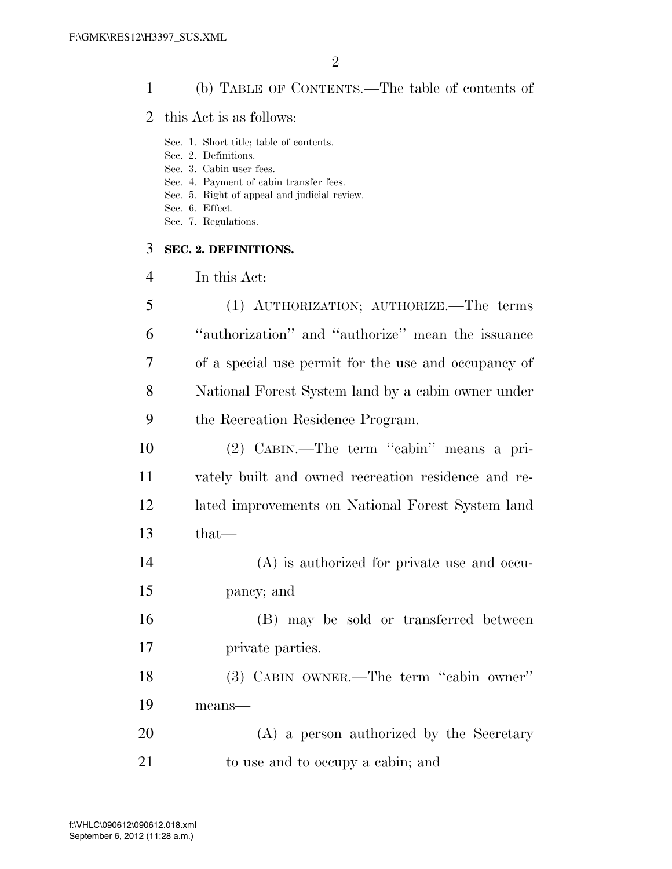### (b) TABLE OF CONTENTS.—The table of contents of

- this Act is as follows:
	- Sec. 1. Short title; table of contents.
	- Sec. 2. Definitions.
	- Sec. 3. Cabin user fees.
	- Sec. 4. Payment of cabin transfer fees.
	- Sec. 5. Right of appeal and judicial review.
	- Sec. 6. Effect.
	- Sec. 7. Regulations.

#### **SEC. 2. DEFINITIONS.**

In this Act:

|        | (1) AUTHORIZATION; AUTHORIZE.—The terms              |
|--------|------------------------------------------------------|
| 6      | "authorization" and "authorize" mean the issuance    |
| $\tau$ | of a special use permit for the use and occupancy of |
| 8      | National Forest System land by a cabin owner under   |
| 9      | the Recreation Residence Program.                    |

- (2) CABIN.—The term ''cabin'' means a pri- vately built and owned recreation residence and re- lated improvements on National Forest System land that—
- (A) is authorized for private use and occu-pancy; and
- (B) may be sold or transferred between private parties.

 (3) CABIN OWNER.—The term ''cabin owner'' means—

 (A) a person authorized by the Secretary 21 to use and to occupy a cabin; and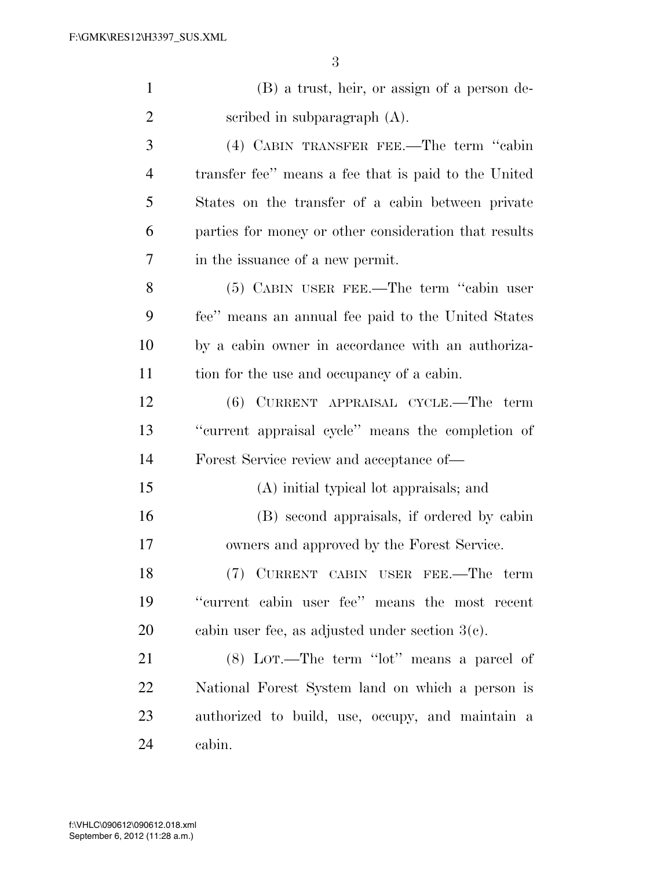|   | (B) a trust, heir, or assign of a person de-          |
|---|-------------------------------------------------------|
| 2 | scribed in subparagraph $(A)$ .                       |
| 3 | (4) CABIN TRANSFER FEE.—The term "cabin               |
| 4 | transfer fee" means a fee that is paid to the United  |
| 5 | States on the transfer of a cabin between private     |
| 6 | parties for money or other consideration that results |
|   | in the issuance of a new permit.                      |
|   |                                                       |

 (5) CABIN USER FEE.—The term ''cabin user fee'' means an annual fee paid to the United States by a cabin owner in accordance with an authoriza-tion for the use and occupancy of a cabin.

 (6) CURRENT APPRAISAL CYCLE.—The term ''current appraisal cycle'' means the completion of Forest Service review and acceptance of—

- (A) initial typical lot appraisals; and
- (B) second appraisals, if ordered by cabin owners and approved by the Forest Service.

 (7) CURRENT CABIN USER FEE.—The term ''current cabin user fee'' means the most recent cabin user fee, as adjusted under section 3(c).

 (8) LOT.—The term ''lot'' means a parcel of National Forest System land on which a person is authorized to build, use, occupy, and maintain a cabin.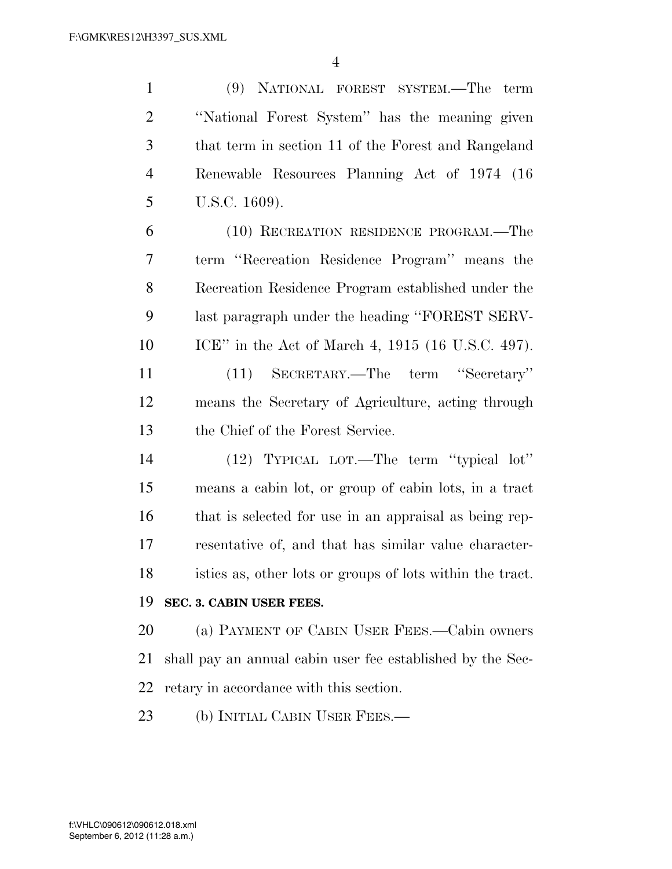(9) NATIONAL FOREST SYSTEM.—The term ''National Forest System'' has the meaning given that term in section 11 of the Forest and Rangeland Renewable Resources Planning Act of 1974 (16 U.S.C. 1609). (10) RECREATION RESIDENCE PROGRAM.—The term ''Recreation Residence Program'' means the Recreation Residence Program established under the last paragraph under the heading ''FOREST SERV- ICE'' in the Act of March 4, 1915 (16 U.S.C. 497). (11) SECRETARY.—The term ''Secretary'' means the Secretary of Agriculture, acting through the Chief of the Forest Service. (12) TYPICAL LOT.—The term ''typical lot'' means a cabin lot, or group of cabin lots, in a tract that is selected for use in an appraisal as being rep- resentative of, and that has similar value character- istics as, other lots or groups of lots within the tract. **SEC. 3. CABIN USER FEES.**  (a) PAYMENT OF CABIN USER FEES.—Cabin owners shall pay an annual cabin user fee established by the Sec-retary in accordance with this section.

23 (b) INITIAL CABIN USER FEES.—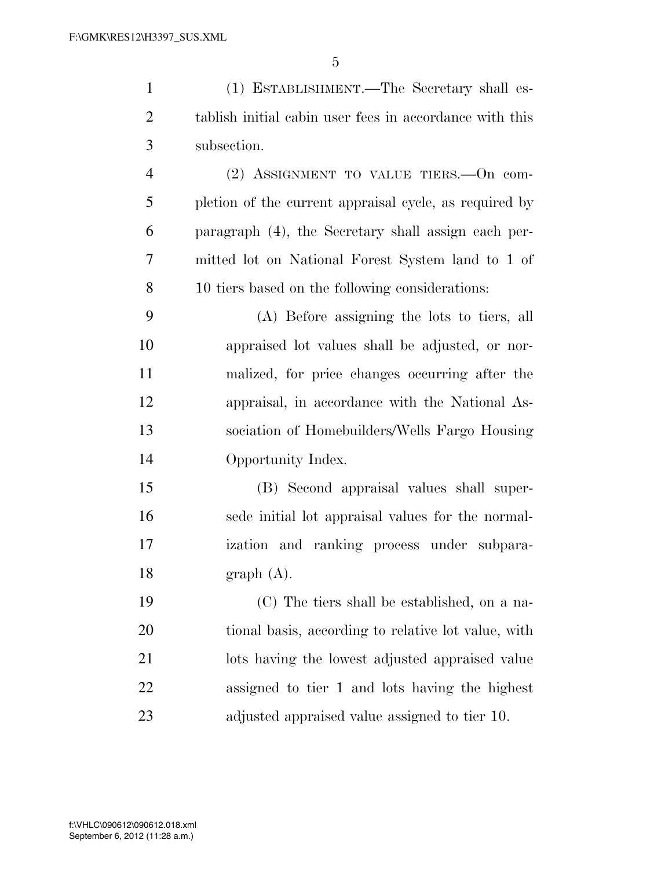| $\mathbf{1}$   | (1) ESTABLISHMENT.—The Secretary shall es-              |
|----------------|---------------------------------------------------------|
| $\overline{2}$ | tablish initial cabin user fees in accordance with this |
| 3              | subsection.                                             |
| $\overline{4}$ | $(2)$ ASSIGNMENT TO VALUE TIERS. - On com-              |
| 5              | pletion of the current appraisal cycle, as required by  |
| 6              | paragraph (4), the Secretary shall assign each per-     |
| 7              | mitted lot on National Forest System land to 1 of       |
| 8              | 10 tiers based on the following considerations:         |
| 9              | (A) Before assigning the lots to tiers, all             |
| 10             | appraised lot values shall be adjusted, or nor-         |
| 11             | malized, for price changes occurring after the          |
| 12             | appraisal, in accordance with the National As-          |
| 13             | sociation of Homebuilders/Wells Fargo Housing           |
| 14             | Opportunity Index.                                      |
| 15             | (B) Second appraisal values shall super-                |
| 16             | sede initial lot appraisal values for the normal-       |
| 17             | ization and ranking process under subpara-              |
| 18             | graph (A).                                              |
| 19             | (C) The tiers shall be established, on a na-            |
| 20             | tional basis, according to relative lot value, with     |
| 21             | lots having the lowest adjusted appraised value         |
| 22             | assigned to tier 1 and lots having the highest          |
| 23             | adjusted appraised value assigned to tier 10.           |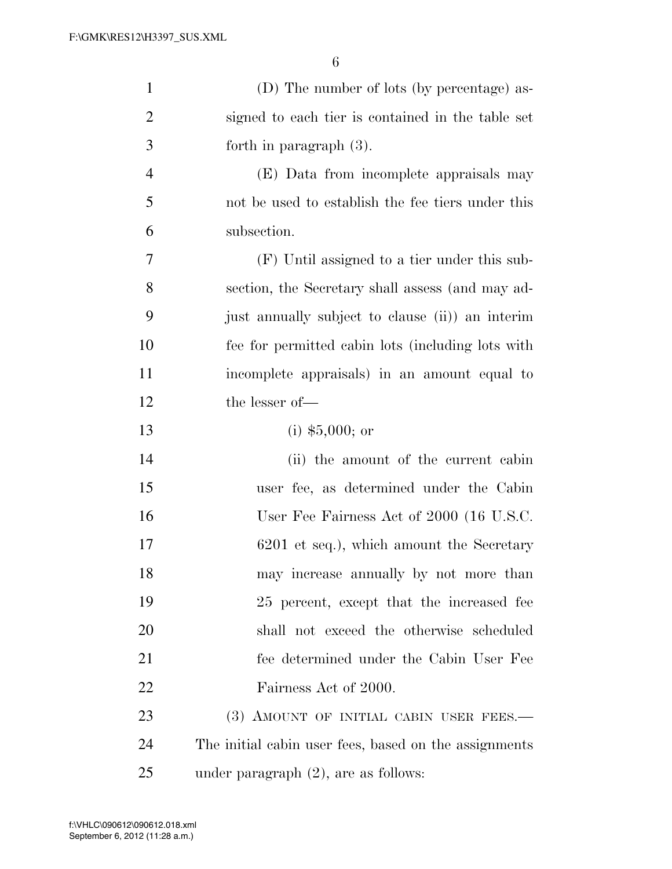| $\mathbf{1}$   | (D) The number of lots (by percentage) as-            |
|----------------|-------------------------------------------------------|
| $\overline{2}$ | signed to each tier is contained in the table set     |
| 3              | forth in paragraph $(3)$ .                            |
| $\overline{4}$ | (E) Data from incomplete appraisals may               |
| 5              | not be used to establish the fee tiers under this     |
| 6              | subsection.                                           |
| 7              | (F) Until assigned to a tier under this sub-          |
| 8              | section, the Secretary shall assess (and may ad-      |
| 9              | just annually subject to clause (ii) an interim       |
| 10             | fee for permitted cabin lots (including lots with     |
| 11             | incomplete appraisals) in an amount equal to          |
| 12             | the lesser of-                                        |
| 13             | $(i)$ \$5,000; or                                     |
| 14             | (ii) the amount of the current cabin                  |
| 15             | user fee, as determined under the Cabin               |
| 16             | User Fee Fairness Act of 2000 (16 U.S.C.              |
| 17             | 6201 et seq.), which amount the Secretary             |
| 18             | may increase annually by not more than                |
| 19             | 25 percent, except that the increased fee             |
| 20             | shall not exceed the otherwise scheduled              |
| 21             | fee determined under the Cabin User Fee               |
| 22             | Fairness Act of 2000.                                 |
| 23             | (3) AMOUNT OF INITIAL CABIN USER FEES.-               |
| 24             | The initial cabin user fees, based on the assignments |
| 25             | under paragraph $(2)$ , are as follows:               |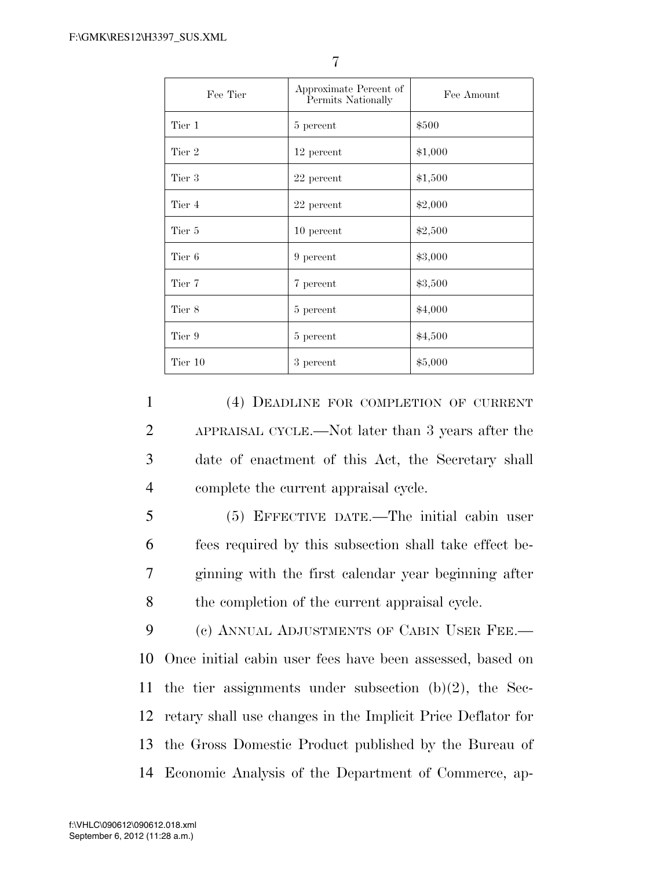| Fee Tier | Approximate Percent of<br>Permits Nationally | Fee Amount |
|----------|----------------------------------------------|------------|
| Tier 1   | 5 percent                                    | \$500      |
| Tier 2   | 12 percent                                   | \$1,000    |
| Tier 3   | 22 percent                                   | \$1,500    |
| Tier 4   | 22 percent                                   | \$2,000    |
| Tier 5   | 10 percent                                   | \$2,500    |
| Tier 6   | 9 percent                                    | \$3,000    |
| Tier 7   | 7 percent                                    | \$3,500    |
| Tier 8   | 5 percent                                    | \$4,000    |
| Tier 9   | 5 percent                                    | \$4,500    |
| Tier 10  | 3 percent                                    | \$5,000    |

 (4) DEADLINE FOR COMPLETION OF CURRENT APPRAISAL CYCLE.—Not later than 3 years after the date of enactment of this Act, the Secretary shall complete the current appraisal cycle.

 (5) EFFECTIVE DATE.—The initial cabin user fees required by this subsection shall take effect be- ginning with the first calendar year beginning after 8 the completion of the current appraisal cycle.

 (c) ANNUAL ADJUSTMENTS OF CABIN USER FEE.— Once initial cabin user fees have been assessed, based on the tier assignments under subsection (b)(2), the Sec- retary shall use changes in the Implicit Price Deflator for the Gross Domestic Product published by the Bureau of Economic Analysis of the Department of Commerce, ap-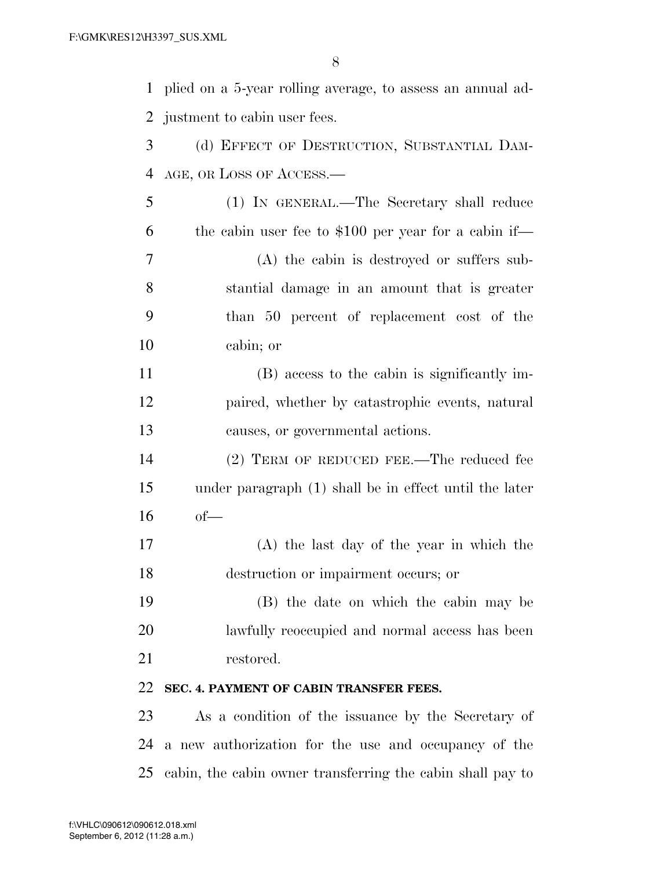| $\mathbf{1}$ | plied on a 5-year rolling average, to assess an annual ad- |
|--------------|------------------------------------------------------------|
| 2            | justment to cabin user fees.                               |
| 3            | (d) EFFECT OF DESTRUCTION, SUBSTANTIAL DAM-                |
| 4            | AGE, OR LOSS OF ACCESS.—                                   |
| 5            | (1) IN GENERAL.—The Secretary shall reduce                 |
| 6            | the cabin user fee to $$100$ per year for a cabin if—      |
| 7            | (A) the cabin is destroyed or suffers sub-                 |
| 8            | stantial damage in an amount that is greater               |
| 9            | than 50 percent of replacement cost of the                 |
| 10           | cabin; or                                                  |
| 11           | (B) access to the cabin is significantly im-               |
| 12           | paired, whether by catastrophic events, natural            |
| 13           | causes, or governmental actions.                           |
| 14           | (2) TERM OF REDUCED FEE.—The reduced fee                   |
| 15           | under paragraph (1) shall be in effect until the later     |
| 16           | $of$ —                                                     |
| 17           | (A) the last day of the year in which the                  |
| 18           | destruction or impairment occurs; or                       |
| 19           | (B) the date on which the cabin may be                     |
| 20           | lawfully reoccupied and normal access has been             |
| 21           | restored.                                                  |
| 22           | SEC. 4. PAYMENT OF CABIN TRANSFER FEES.                    |
| 23           | As a condition of the issuance by the Secretary of         |
| 24           | a new authorization for the use and occupancy of the       |
| 25           | cabin, the cabin owner transferring the cabin shall pay to |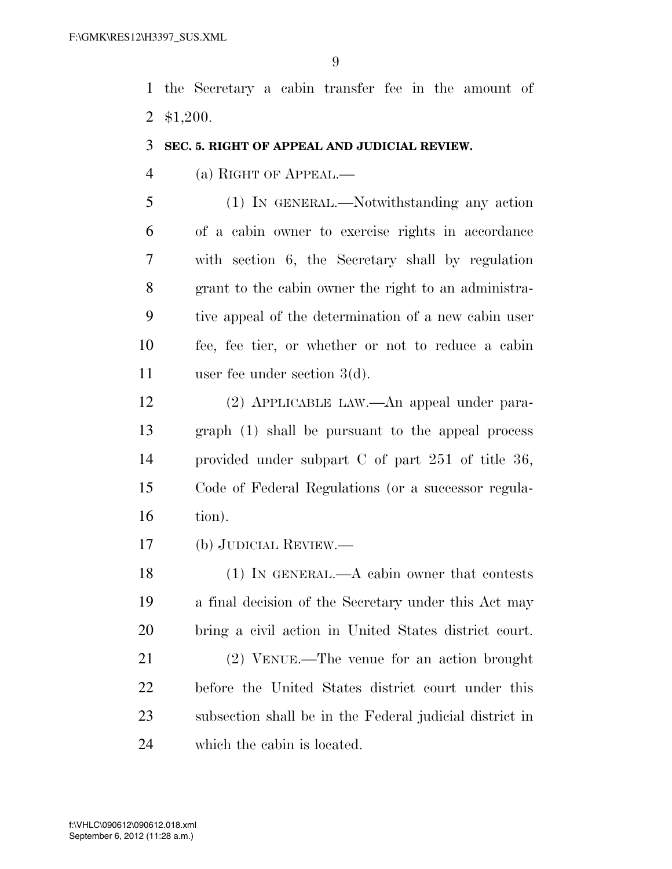the Secretary a cabin transfer fee in the amount of \$1,200.

### **SEC. 5. RIGHT OF APPEAL AND JUDICIAL REVIEW.**

(a) RIGHT OF APPEAL.—

 (1) IN GENERAL.—Notwithstanding any action of a cabin owner to exercise rights in accordance with section 6, the Secretary shall by regulation grant to the cabin owner the right to an administra- tive appeal of the determination of a new cabin user fee, fee tier, or whether or not to reduce a cabin user fee under section 3(d).

 (2) APPLICABLE LAW.—An appeal under para- graph (1) shall be pursuant to the appeal process provided under subpart C of part 251 of title 36, Code of Federal Regulations (or a successor regula-tion).

(b) JUDICIAL REVIEW.—

 (1) IN GENERAL.—A cabin owner that contests a final decision of the Secretary under this Act may bring a civil action in United States district court.

 (2) VENUE.—The venue for an action brought before the United States district court under this subsection shall be in the Federal judicial district in which the cabin is located.